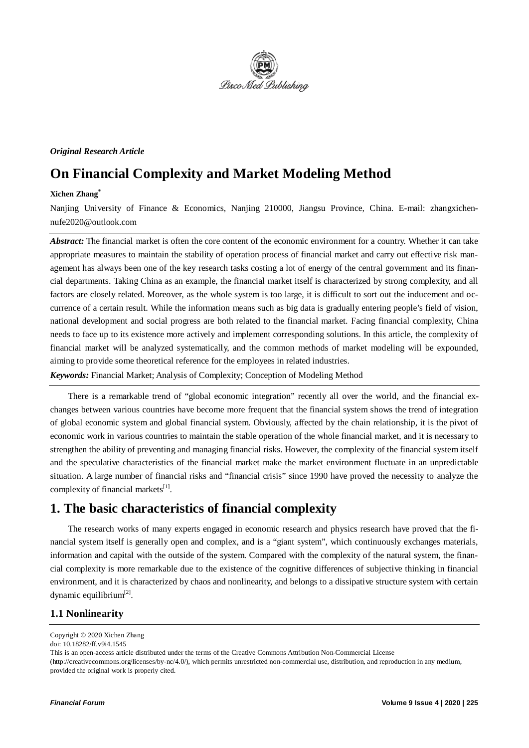

### *Original Research Article*

# **On Financial Complexity and Market Modeling Method**

#### **Xichen Zhang\***

Nanjing University of Finance & Economics, Nanjing 210000, Jiangsu Province, China. E-mail: zhangxichennufe2020@outlook.com

*Abstract:* The financial market is often the core content of the economic environment for a country. Whether it can take appropriate measures to maintain the stability of operation process of financial market and carry out effective risk management has always been one of the key research tasks costing a lot of energy of the central government and its financial departments. Taking China as an example, the financial market itself is characterized by strong complexity, and all factors are closely related. Moreover, as the whole system is too large, it is difficult to sort out the inducement and occurrence of a certain result. While the information means such as big data is gradually entering people's field of vision, national development and social progress are both related to the financial market. Facing financial complexity, China needs to face up to its existence more actively and implement corresponding solutions. In this article, the complexity of financial market will be analyzed systematically, and the common methods of market modeling will be expounded, aiming to provide some theoretical reference for the employees in related industries.

*Keywords:* Financial Market; Analysis of Complexity; Conception of Modeling Method

There is a remarkable trend of "global economic integration" recently all over the world, and the financial exchanges between various countries have become more frequent that the financial system shows the trend of integration of global economic system and global financial system. Obviously, affected by the chain relationship, it is the pivot of economic work in various countries to maintain the stable operation of the whole financial market, and it is necessary to strengthen the ability of preventing and managing financial risks. However, the complexity of the financial system itself and the speculative characteristics of the financial market make the market environment fluctuate in an unpredictable situation. A large number of financial risks and "financial crisis" since 1990 have proved the necessity to analyze the complexity of financial markets $^{[1]}$ .

# **1. The basic characteristics of financial complexity**

The research works of many experts engaged in economic research and physics research have proved that the financial system itself is generally open and complex, and is a "giant system", which continuously exchanges materials, information and capital with the outside of the system. Compared with the complexity of the natural system, the financial complexity is more remarkable due to the existence of the cognitive differences of subjective thinking in financial environment, and it is characterized by chaos and nonlinearity, and belongs to a dissipative structure system with certain dynamic equilibrium $^{[2]}$ .

## **1.1 Nonlinearity**

Copyright © 2020 Xichen Zhang

doi: 10.18282/ff.v9i4.1545

This is an open-access article distributed under the terms of the Creative Commons Attribution Non-Commercial License (http://creativecommons.org/licenses/by-nc/4.0/), which permits unrestricted non-commercial use, distribution, and reproduction in any medium, provided the original work is properly cited.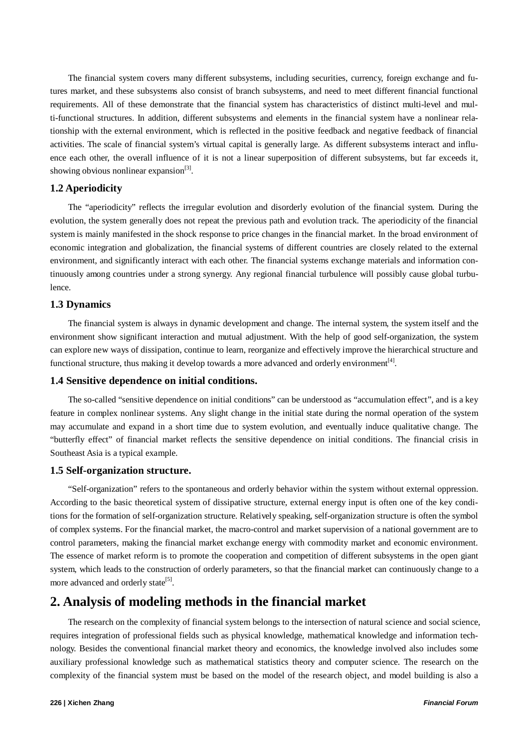The financial system covers many different subsystems, including securities, currency, foreign exchange and futures market, and these subsystems also consist of branch subsystems, and need to meet different financial functional requirements. All of these demonstrate that the financial system has characteristics of distinct multi-level and multi-functional structures. In addition, different subsystems and elements in the financial system have a nonlinear relationship with the external environment, which is reflected in the positive feedback and negative feedback of financial activities. The scale of financial system's virtual capital is generally large. As different subsystems interact and influence each other, the overall influence of it is not a linear superposition of different subsystems, but far exceeds it, showing obvious nonlinear expansion $^{[3]}$ .

### **1.2 Aperiodicity**

The "aperiodicity" reflects the irregular evolution and disorderly evolution of the financial system. During the evolution, the system generally does not repeat the previous path and evolution track. The aperiodicity of the financial system is mainly manifested in the shock response to price changes in the financial market. In the broad environment of economic integration and globalization, the financial systems of different countries are closely related to the external environment, and significantly interact with each other. The financial systems exchange materials and information continuously among countries under a strong synergy. Any regional financial turbulence will possibly cause global turbulence.

### **1.3 Dynamics**

The financial system is always in dynamic development and change. The internal system, the system itself and the environment show significant interaction and mutual adjustment. With the help of good self-organization, the system can explore new ways of dissipation, continue to learn, reorganize and effectively improve the hierarchical structure and functional structure, thus making it develop towards a more advanced and orderly environment<sup>[4]</sup>.

#### **1.4 Sensitive dependence on initial conditions.**

The so-called "sensitive dependence on initial conditions" can be understood as "accumulation effect", and is a key feature in complex nonlinear systems. Any slight change in the initial state during the normal operation of the system may accumulate and expand in a short time due to system evolution, and eventually induce qualitative change. The "butterfly effect" of financial market reflects the sensitive dependence on initial conditions. The financial crisis in Southeast Asia is a typical example.

#### **1.5 Self-organization structure.**

"Self-organization" refers to the spontaneous and orderly behavior within the system without external oppression. According to the basic theoretical system of dissipative structure, external energy input is often one of the key conditions for the formation of self-organization structure. Relatively speaking, self-organization structure is often the symbol of complex systems. For the financial market, the macro-control and market supervision of a national government are to control parameters, making the financial market exchange energy with commodity market and economic environment. The essence of market reform is to promote the cooperation and competition of different subsystems in the open giant system, which leads to the construction of orderly parameters, so that the financial market can continuously change to a more advanced and orderly state<sup>[5]</sup>.

# **2. Analysis of modeling methods in the financial market**

The research on the complexity of financial system belongs to the intersection of natural science and social science, requires integration of professional fields such as physical knowledge, mathematical knowledge and information technology. Besides the conventional financial market theory and economics, the knowledge involved also includes some auxiliary professional knowledge such as mathematical statistics theory and computer science. The research on the complexity of the financial system must be based on the model of the research object, and model building is also a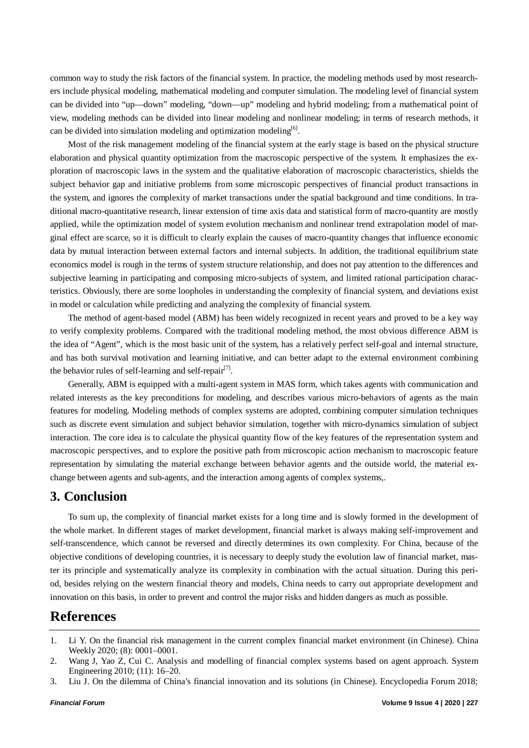common way to study the risk factors of the financial system. In practice, the modeling methods used by most researchers include physical modeling, mathematical modeling and computer simulation. The modeling level of financial system can be divided into "up—down" modeling, "down—up" modeling and hybrid modeling; from a mathematical point of view, modeling methods can be divided into linear modeling and nonlinear modeling; in terms of research methods, it can be divided into simulation modeling and optimization modeling<sup>[6]</sup>.

Most of the risk management modeling of the financial system at the early stage is based on the physical structure elaboration and physical quantity optimization from the macroscopic perspective of the system. It emphasizes the exploration of macroscopic laws in the system and the qualitative elaboration of macroscopic characteristics, shields the subject behavior gap and initiative problems from some microscopic perspectives of financial product transactions in the system, and ignores the complexity of market transactions under the spatial background and time conditions. In traditional macro-quantitative research, linear extension of time axis data and statistical form of macro-quantity are mostly applied, while the optimization model of system evolution mechanism and nonlinear trend extrapolation model of marginal effect are scarce, so it is difficult to clearly explain the causes of macro-quantity changes that influence economic data by mutual interaction between external factors and internal subjects. In addition, the traditional equilibrium state economics model is rough in the terms of system structure relationship, and does not pay attention to the differences and subjective learning in participating and composing micro-subjects of system, and limited rational participation characteristics. Obviously, there are some loopholes in understanding the complexity of financial system, and deviations exist in model or calculation while predicting and analyzing the complexity of financial system.

The method of agent-based model (ABM) has been widely recognized in recent years and proved to be a key way to verify complexity problems. Compared with the traditional modeling method, the most obvious difference ABM is the idea of "Agent", which is the most basic unit of the system, has a relatively perfect self-goal and internal structure, and has both survival motivation and learning initiative, and can better adapt to the external environment combining the behavior rules of self-learning and self-repair<sup>[7]</sup>.

Generally, ABM is equipped with a multi-agent system in MAS form, which takes agents with communication and related interests as the key preconditions for modeling, and describes various micro-behaviors of agents as the main features for modeling. Modeling methods of complex systems are adopted, combining computer simulation techniques such as discrete event simulation and subject behavior simulation, together with micro-dynamics simulation of subject interaction. The core idea is to calculate the physical quantity flow of the key features of the representation system and macroscopic perspectives, and to explore the positive path from microscopic action mechanism to macroscopic feature representation by simulating the material exchange between behavior agents and the outside world, the material exchange between agents and sub-agents, and the interaction among agents of complex systems,.

# **3. Conclusion**

To sum up, the complexity of financial market exists for a long time and is slowly formed in the development of the whole market. In different stages of market development, financial market is always making self-improvement and self-transcendence, which cannot be reversed and directly determines its own complexity. For China, because of the objective conditions of developing countries, it is necessary to deeply study the evolution law of financial market, master its principle and systematically analyze its complexity in combination with the actual situation. During this period, besides relying on the western financial theory and models, China needs to carry out appropriate development and innovation on this basis, in order to prevent and control the major risks and hidden dangers as much as possible.

# **References**

3. Liu J. On the dilemma of China's financial innovation and its solutions (in Chinese). Encyclopedia Forum 2018;

<sup>1.</sup> Li Y. On the financial risk management in the current complex financial market environment (in Chinese). China Weekly 2020; (8): 0001–0001.

<sup>2.</sup> Wang J, Yao Z, Cui C. Analysis and modelling of financial complex systems based on agent approach. System Engineering 2010; (11): 16–20.